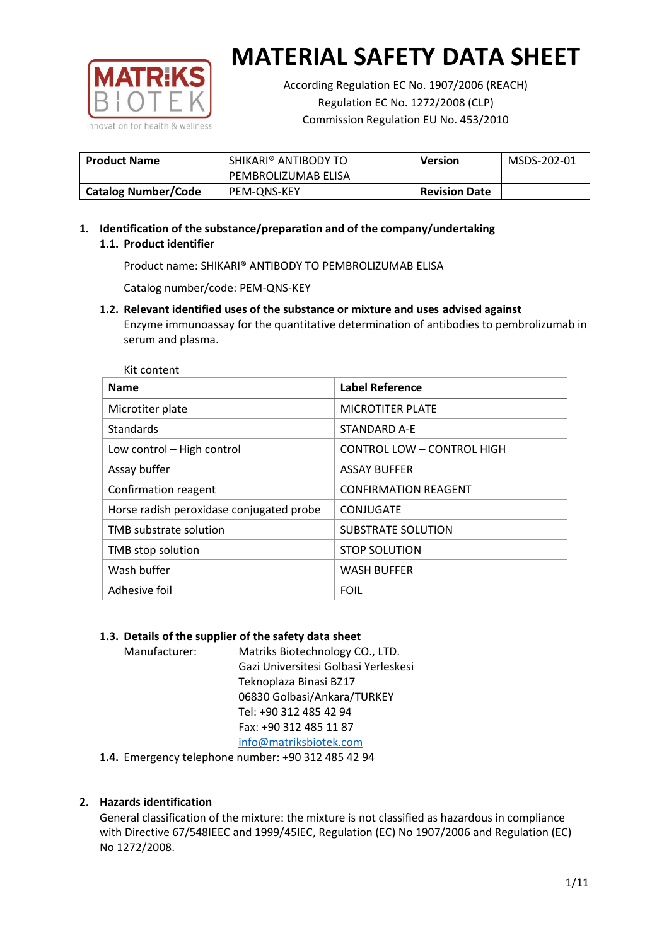

According Regulation EC No. 1907/2006 (REACH) Regulation EC No. 1272/2008 (CLP) Commission Regulation EU No. 453/2010

| <b>Product Name</b>        | SHIKARI® ANTIBODY TO<br>PEMBROLIZUMAB ELISA |                      | MSDS-202-01 |
|----------------------------|---------------------------------------------|----------------------|-------------|
| <b>Catalog Number/Code</b> | PEM-ONS-KEY                                 | <b>Revision Date</b> |             |

## **1. Identification of the substance/preparation and of the company/undertaking 1.1. Product identifier**

Product name: SHIKARI® ANTIBODY TO PEMBROLIZUMAB ELISA

Catalog number/code: PEM-QNS-KEY

#### **1.2. Relevant identified uses of the substance or mixture and uses advised against**

Enzyme immunoassay for the quantitative determination of antibodies to pembrolizumab in serum and plasma.

| Kit content                              |                             |
|------------------------------------------|-----------------------------|
| <b>Name</b>                              | <b>Label Reference</b>      |
| Microtiter plate                         | <b>MICROTITER PLATE</b>     |
| <b>Standards</b>                         | STANDARD A-E                |
| Low control - High control               | CONTROL LOW - CONTROL HIGH  |
| Assay buffer                             | <b>ASSAY BUFFER</b>         |
| Confirmation reagent                     | <b>CONFIRMATION REAGENT</b> |
| Horse radish peroxidase conjugated probe | <b>CONJUGATE</b>            |
| TMB substrate solution                   | <b>SUBSTRATE SOLUTION</b>   |
| TMB stop solution                        | <b>STOP SOLUTION</b>        |
| Wash buffer                              | <b>WASH BUFFER</b>          |
| Adhesive foil                            | <b>FOIL</b>                 |

## **1.3. Details of the supplier of the safety data sheet**

Manufacturer: Matriks Biotechnology CO., LTD. Gazi Universitesi Golbasi Yerleskesi Teknoplaza Binasi BZ17 06830 Golbasi/Ankara/TURKEY Tel: +90 312 485 42 94 Fax: +90 312 485 11 87 [info@matriksbiotek.com](mailto:info@matriksbiotek.com)

**1.4.** Emergency telephone number: +90 312 485 42 94

## **2. Hazards identification**

General classification of the mixture: the mixture is not classified as hazardous in compliance with Directive 67/548IEEC and 1999/45IEC, Regulation (EC) No 1907/2006 and Regulation (EC) No 1272/2008.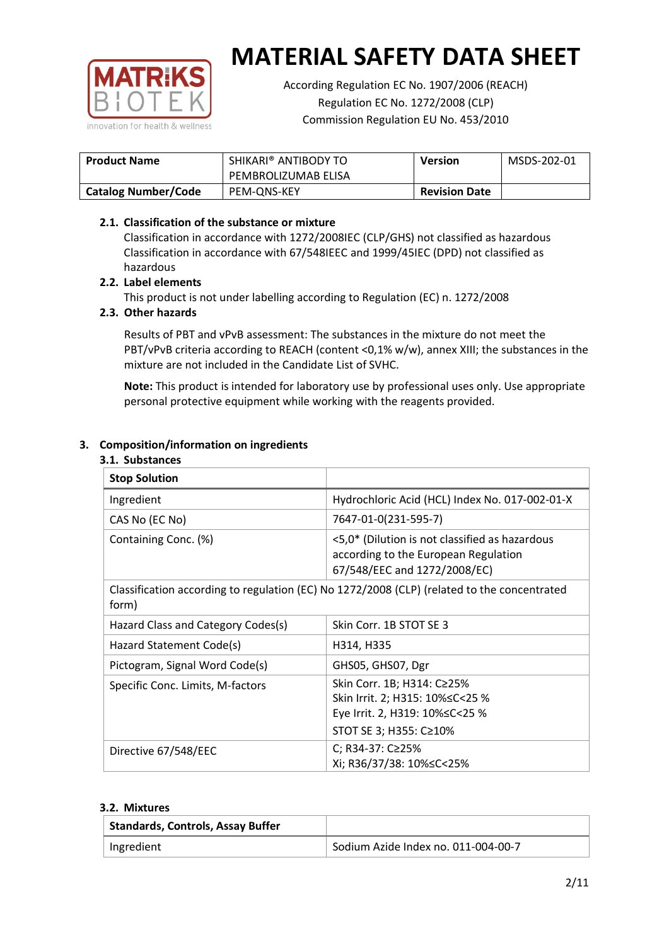

According Regulation EC No. 1907/2006 (REACH) Regulation EC No. 1272/2008 (CLP) Commission Regulation EU No. 453/2010

| <b>Product Name</b>        | SHIKARI® ANTIBODY TO<br>PEMBROLIZUMAB ELISA | <b>Version</b>       | MSDS-202-01 |
|----------------------------|---------------------------------------------|----------------------|-------------|
| <b>Catalog Number/Code</b> | PEM-ONS-KEY                                 | <b>Revision Date</b> |             |

## **2.1. Classification of the substance or mixture**

Classification in accordance with 1272/2008IEC (CLP/GHS) not classified as hazardous Classification in accordance with 67/548IEEC and 1999/45IEC (DPD) not classified as hazardous

#### **2.2. Label elements**

This product is not under labelling according to Regulation (EC) n. 1272/2008

#### **2.3. Other hazards**

Results of PBT and vPvB assessment: The substances in the mixture do not meet the PBT/vPvB criteria according to REACH (content <0,1% w/w), annex XIII; the substances in the mixture are not included in the Candidate List of SVHC.

**Note:** This product is intended for laboratory use by professional uses only. Use appropriate personal protective equipment while working with the reagents provided.

## **3. Composition/information on ingredients**

| <b>Stop Solution</b>                                                                                 |                                                                                                                               |  |
|------------------------------------------------------------------------------------------------------|-------------------------------------------------------------------------------------------------------------------------------|--|
| Ingredient                                                                                           | Hydrochloric Acid (HCL) Index No. 017-002-01-X                                                                                |  |
| CAS No (EC No)                                                                                       | 7647-01-0(231-595-7)                                                                                                          |  |
| Containing Conc. (%)                                                                                 | <5,0* (Dilution is not classified as hazardous<br>according to the European Regulation<br>67/548/EEC and 1272/2008/EC)        |  |
| Classification according to regulation (EC) No 1272/2008 (CLP) (related to the concentrated<br>form) |                                                                                                                               |  |
| Hazard Class and Category Codes(s)                                                                   | Skin Corr. 1B STOT SE 3                                                                                                       |  |
| Hazard Statement Code(s)                                                                             | H314, H335                                                                                                                    |  |
| Pictogram, Signal Word Code(s)                                                                       | GHS05, GHS07, Dgr                                                                                                             |  |
| Specific Conc. Limits, M-factors                                                                     | Skin Corr. 1B; H314: C≥25%<br>Skin Irrit. 2; H315: 10% ≤ C < 25 %<br>Eye Irrit. 2, H319: 10%≤C<25 %<br>STOT SE 3; H355: C≥10% |  |
| Directive 67/548/EEC                                                                                 | C; R34-37: C≥25%<br>Xi; R36/37/38: 10% <<<<<<<                                                                                |  |

#### **3.2. Mixtures**

| <b>Standards, Controls, Assay Buffer</b> |                                     |
|------------------------------------------|-------------------------------------|
| Ingredient                               | Sodium Azide Index no. 011-004-00-7 |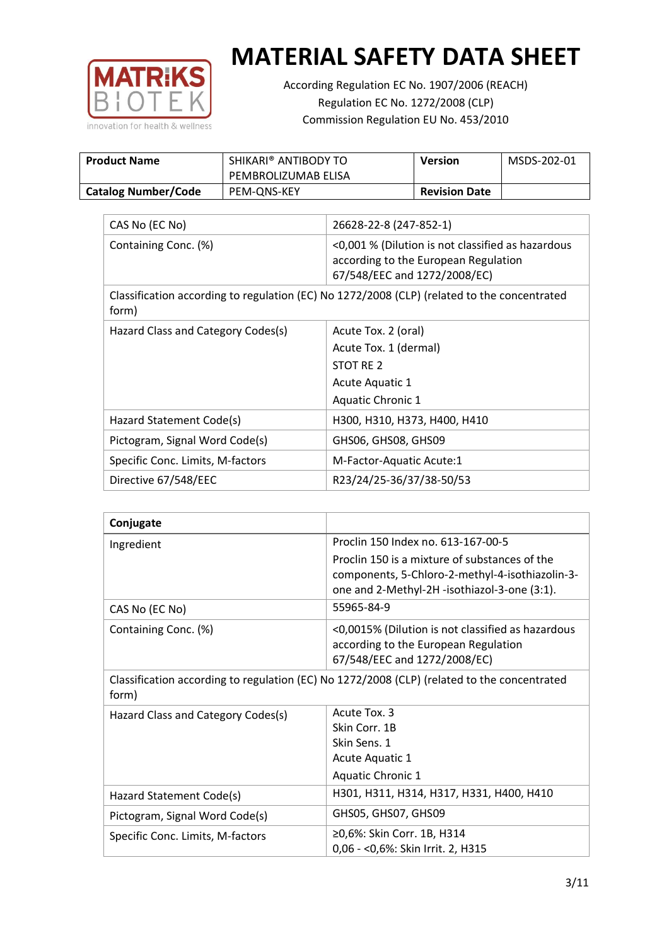

According Regulation EC No. 1907/2006 (REACH) Regulation EC No. 1272/2008 (CLP) Commission Regulation EU No. 453/2010

| <b>Product Name</b>        | SHIKARI® ANTIBODY TO | <b>Version</b>       | MSDS-202-01 |
|----------------------------|----------------------|----------------------|-------------|
|                            | PEMBROLIZUMAB ELISA  |                      |             |
| <b>Catalog Number/Code</b> | PEM-ONS-KEY          | <b>Revision Date</b> |             |

| CAS No (EC No)                     | 26628-22-8 (247-852-1)                                                                                                    |
|------------------------------------|---------------------------------------------------------------------------------------------------------------------------|
| Containing Conc. (%)               | <0,001 % (Dilution is not classified as hazardous<br>according to the European Regulation<br>67/548/EEC and 1272/2008/EC) |
| form)                              | Classification according to regulation (EC) No 1272/2008 (CLP) (related to the concentrated                               |
| Hazard Class and Category Codes(s) | Acute Tox. 2 (oral)                                                                                                       |
|                                    | Acute Tox. 1 (dermal)                                                                                                     |
|                                    | STOT RE 2                                                                                                                 |
|                                    | Acute Aquatic 1                                                                                                           |
|                                    | <b>Aquatic Chronic 1</b>                                                                                                  |
| Hazard Statement Code(s)           | H300, H310, H373, H400, H410                                                                                              |
| Pictogram, Signal Word Code(s)     | GHS06, GHS08, GHS09                                                                                                       |
| Specific Conc. Limits, M-factors   | M-Factor-Aquatic Acute:1                                                                                                  |
| Directive 67/548/EEC               | R23/24/25-36/37/38-50/53                                                                                                  |

| Conjugate                                                                                            |                                                                                                                                                  |  |
|------------------------------------------------------------------------------------------------------|--------------------------------------------------------------------------------------------------------------------------------------------------|--|
| Ingredient                                                                                           | Proclin 150 Index no. 613-167-00-5                                                                                                               |  |
|                                                                                                      | Proclin 150 is a mixture of substances of the<br>components, 5-Chloro-2-methyl-4-isothiazolin-3-<br>one and 2-Methyl-2H -isothiazol-3-one (3:1). |  |
| CAS No (EC No)                                                                                       | 55965-84-9                                                                                                                                       |  |
| Containing Conc. (%)                                                                                 | <0,0015% (Dilution is not classified as hazardous<br>according to the European Regulation<br>67/548/EEC and 1272/2008/EC)                        |  |
| Classification according to regulation (EC) No 1272/2008 (CLP) (related to the concentrated<br>form) |                                                                                                                                                  |  |
| Hazard Class and Category Codes(s)                                                                   | Acute Tox. 3                                                                                                                                     |  |
|                                                                                                      | Skin Corr. 1B                                                                                                                                    |  |
|                                                                                                      | Skin Sens. 1                                                                                                                                     |  |
|                                                                                                      | Acute Aquatic 1                                                                                                                                  |  |
|                                                                                                      | <b>Aquatic Chronic 1</b>                                                                                                                         |  |
| Hazard Statement Code(s)                                                                             | H301, H311, H314, H317, H331, H400, H410                                                                                                         |  |
| Pictogram, Signal Word Code(s)                                                                       | GHS05, GHS07, GHS09                                                                                                                              |  |
| Specific Conc. Limits, M-factors                                                                     | ≥0,6%: Skin Corr. 1B, H314<br>0,06 - < 0,6%: Skin Irrit. 2, H315                                                                                 |  |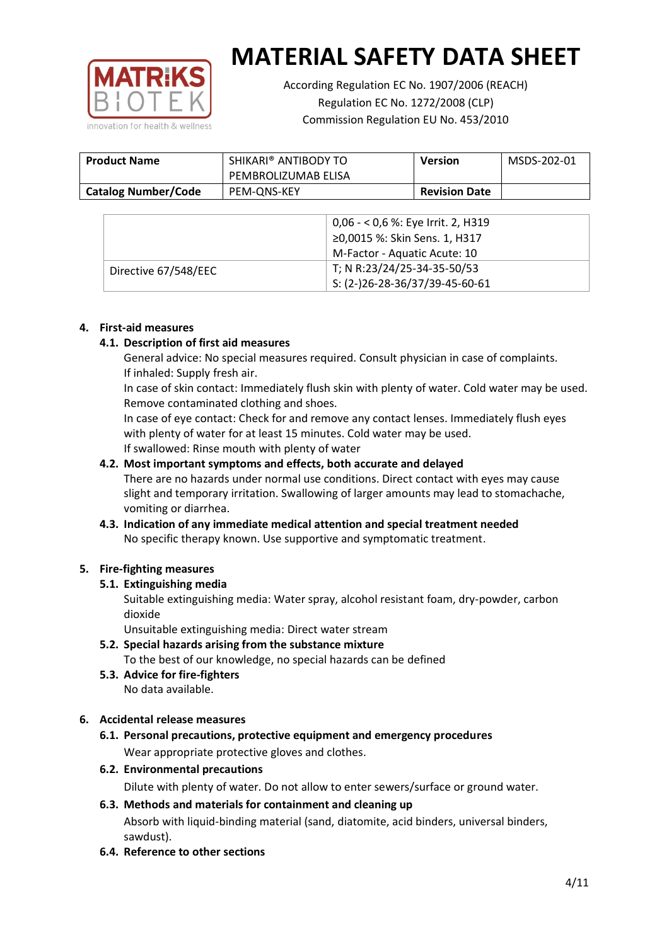

According Regulation EC No. 1907/2006 (REACH) Regulation EC No. 1272/2008 (CLP) Commission Regulation EU No. 453/2010

| <b>Product Name</b>        | SHIKARI® ANTIBODY TO<br>PEMBROLIZUMAB ELISA | <b>Version</b>       | MSDS-202-01 |
|----------------------------|---------------------------------------------|----------------------|-------------|
| <b>Catalog Number/Code</b> | PEM-ONS-KEY                                 | <b>Revision Date</b> |             |

|                      | $0.06 - 0.6$ %: Eye Irrit. 2, H319<br>≥0,0015 %: Skin Sens. 1, H317<br>M-Factor - Aquatic Acute: 10 |
|----------------------|-----------------------------------------------------------------------------------------------------|
| Directive 67/548/EEC | T; N R:23/24/25-34-35-50/53<br>S: (2-)26-28-36/37/39-45-60-61                                       |

#### **4. First-aid measures**

## **4.1. Description of first aid measures**

General advice: No special measures required. Consult physician in case of complaints. If inhaled: Supply fresh air.

In case of skin contact: Immediately flush skin with plenty of water. Cold water may be used. Remove contaminated clothing and shoes.

In case of eye contact: Check for and remove any contact lenses. Immediately flush eyes with plenty of water for at least 15 minutes. Cold water may be used. If swallowed: Rinse mouth with plenty of water

## **4.2. Most important symptoms and effects, both accurate and delayed**

There are no hazards under normal use conditions. Direct contact with eyes may cause slight and temporary irritation. Swallowing of larger amounts may lead to stomachache, vomiting or diarrhea.

## **4.3. Indication of any immediate medical attention and special treatment needed** No specific therapy known. Use supportive and symptomatic treatment.

#### **5. Fire-fighting measures**

#### **5.1. Extinguishing media**

Suitable extinguishing media: Water spray, alcohol resistant foam, dry-powder, carbon dioxide

Unsuitable extinguishing media: Direct water stream

## **5.2. Special hazards arising from the substance mixture**

To the best of our knowledge, no special hazards can be defined

**5.3. Advice for fire-fighters** No data available.

## **6. Accidental release measures**

- **6.1. Personal precautions, protective equipment and emergency procedures** Wear appropriate protective gloves and clothes.
- **6.2. Environmental precautions** Dilute with plenty of water. Do not allow to enter sewers/surface or ground water.

## **6.3. Methods and materials for containment and cleaning up** Absorb with liquid-binding material (sand, diatomite, acid binders, universal binders, sawdust).

**6.4. Reference to other sections**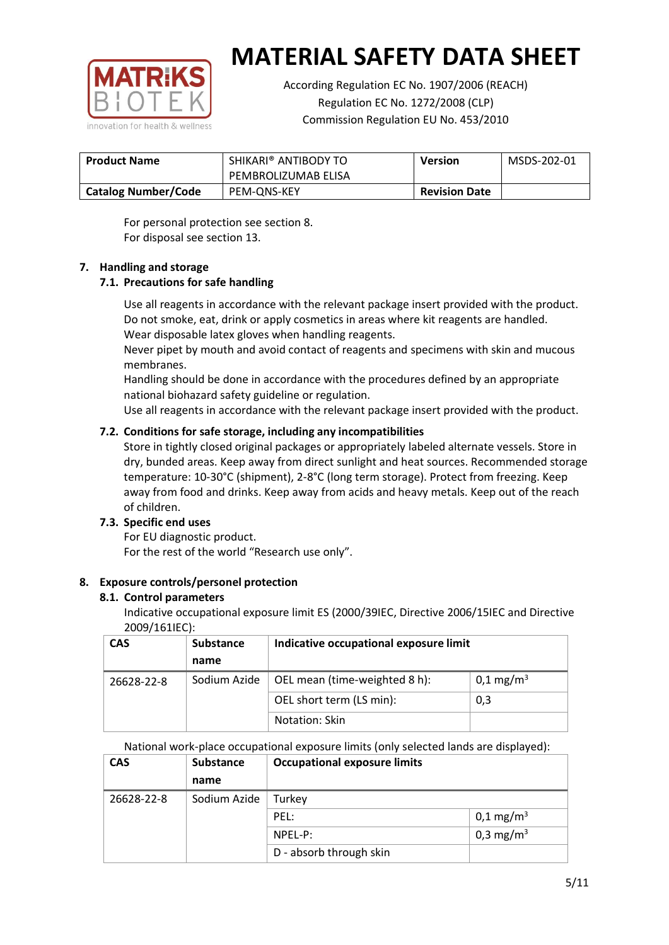

According Regulation EC No. 1907/2006 (REACH) Regulation EC No. 1272/2008 (CLP) Commission Regulation EU No. 453/2010

| <b>Product Name</b>        | SHIKARI <sup>®</sup> ANTIBODY TO | <b>Version</b>       | MSDS-202-01 |
|----------------------------|----------------------------------|----------------------|-------------|
|                            | PEMBROLIZUMAB ELISA              |                      |             |
| <b>Catalog Number/Code</b> | PEM-ONS-KEY                      | <b>Revision Date</b> |             |

For personal protection see section 8. For disposal see section 13.

#### **7. Handling and storage**

## **7.1. Precautions for safe handling**

Use all reagents in accordance with the relevant package insert provided with the product. Do not smoke, eat, drink or apply cosmetics in areas where kit reagents are handled. Wear disposable latex gloves when handling reagents.

Never pipet by mouth and avoid contact of reagents and specimens with skin and mucous membranes.

Handling should be done in accordance with the procedures defined by an appropriate national biohazard safety guideline or regulation.

Use all reagents in accordance with the relevant package insert provided with the product.

#### **7.2. Conditions for safe storage, including any incompatibilities**

Store in tightly closed original packages or appropriately labeled alternate vessels. Store in dry, bunded areas. Keep away from direct sunlight and heat sources. Recommended storage temperature: 10-30°C (shipment), 2-8°C (long term storage). Protect from freezing. Keep away from food and drinks. Keep away from acids and heavy metals. Keep out of the reach of children.

#### **7.3. Specific end uses**

For EU diagnostic product. For the rest of the world "Research use only".

#### **8. Exposure controls/personel protection**

#### **8.1. Control parameters**

Indicative occupational exposure limit ES (2000/39IEC, Directive 2006/15IEC and Directive 2009/161IEC):

| <b>CAS</b> | <b>Substance</b>         | Indicative occupational exposure limit |                       |
|------------|--------------------------|----------------------------------------|-----------------------|
|            | name                     |                                        |                       |
| 26628-22-8 | Sodium Azide             | OEL mean (time-weighted 8 h):          | 0,1 mg/m <sup>3</sup> |
|            | OEL short term (LS min): | 0,3                                    |                       |
|            | Notation: Skin           |                                        |                       |

National work-place occupational exposure limits (only selected lands are displayed):

| <b>CAS</b> | <b>Substance</b> | <b>Occupational exposure limits</b> |                       |
|------------|------------------|-------------------------------------|-----------------------|
|            | name             |                                     |                       |
| 26628-22-8 | Sodium Azide     | Turkey                              |                       |
|            |                  | PEL:                                | $0,1 \text{ mg/m}^3$  |
|            |                  | NPEL-P:                             | 0,3 mg/m <sup>3</sup> |
|            |                  | D - absorb through skin             |                       |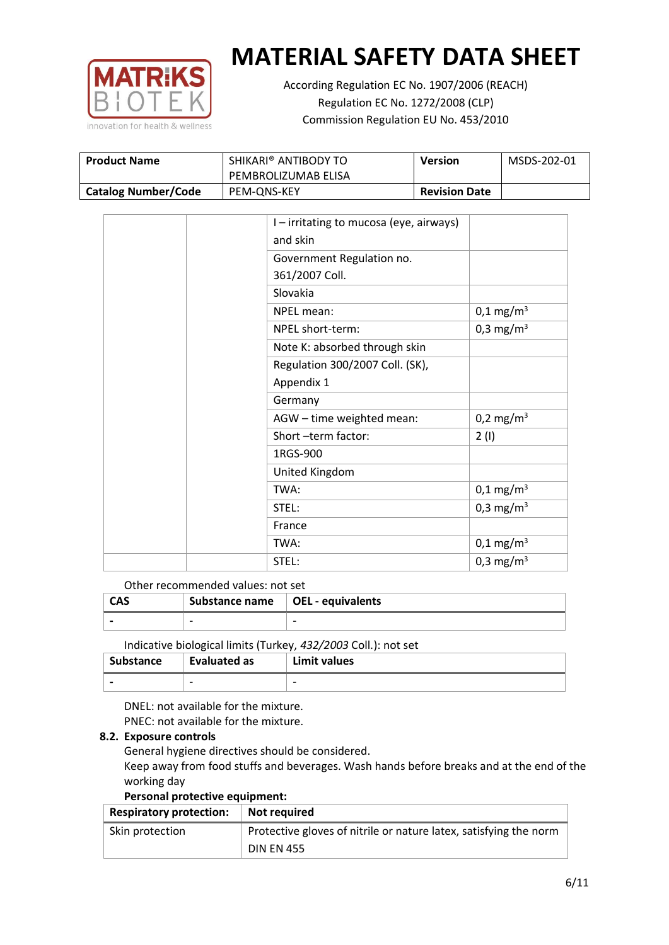

According Regulation EC No. 1907/2006 (REACH) Regulation EC No. 1272/2008 (CLP) Commission Regulation EU No. 453/2010

| <b>Product Name</b>        | SHIKARI® ANTIBODY TO<br>PEMBROLIZUMAB ELISA | Version              | MSDS-202-01 |
|----------------------------|---------------------------------------------|----------------------|-------------|
| <b>Catalog Number/Code</b> | PEM-ONS-KEY                                 | <b>Revision Date</b> |             |

|  | I - irritating to mucosa (eye, airways) |                         |
|--|-----------------------------------------|-------------------------|
|  | and skin                                |                         |
|  | Government Regulation no.               |                         |
|  | 361/2007 Coll.                          |                         |
|  | Slovakia                                |                         |
|  | NPEL mean:                              | $0,1 \text{ mg/m}^3$    |
|  | NPEL short-term:                        | 0,3 mg/m <sup>3</sup>   |
|  | Note K: absorbed through skin           |                         |
|  | Regulation 300/2007 Coll. (SK),         |                         |
|  | Appendix 1                              |                         |
|  | Germany                                 |                         |
|  | AGW - time weighted mean:               | $0,2$ mg/m <sup>3</sup> |
|  | Short-term factor:                      | 2(1)                    |
|  | 1RGS-900                                |                         |
|  | United Kingdom                          |                         |
|  | TWA:                                    | $0,1 \text{ mg/m}^3$    |
|  | STEL:                                   | 0,3 mg/m <sup>3</sup>   |
|  | France                                  |                         |
|  | TWA:                                    | $0,1 \text{ mg/m}^3$    |
|  | STEL:                                   | 0,3 mg/m <sup>3</sup>   |

Other recommended values: not set

| <b>CAS</b> | Substance name   OEL - equivalents |                          |
|------------|------------------------------------|--------------------------|
|            | $\overline{\phantom{0}}$           | $\overline{\phantom{0}}$ |
|            |                                    |                          |

Indicative biological limits (Turkey, *432/2003* Coll.): not set

| Substance | <b>Evaluated as</b>      | Limit values             |
|-----------|--------------------------|--------------------------|
| -         | $\overline{\phantom{0}}$ | $\overline{\phantom{0}}$ |

DNEL: not available for the mixture. PNEC: not available for the mixture.

## **8.2. Exposure controls**

General hygiene directives should be considered.

Keep away from food stuffs and beverages. Wash hands before breaks and at the end of the working day

## **Personal protective equipment:**

| <b>Respiratory protection:</b> | Not required                                                      |
|--------------------------------|-------------------------------------------------------------------|
| Skin protection                | Protective gloves of nitrile or nature latex, satisfying the norm |
|                                | <b>DIN EN 455</b>                                                 |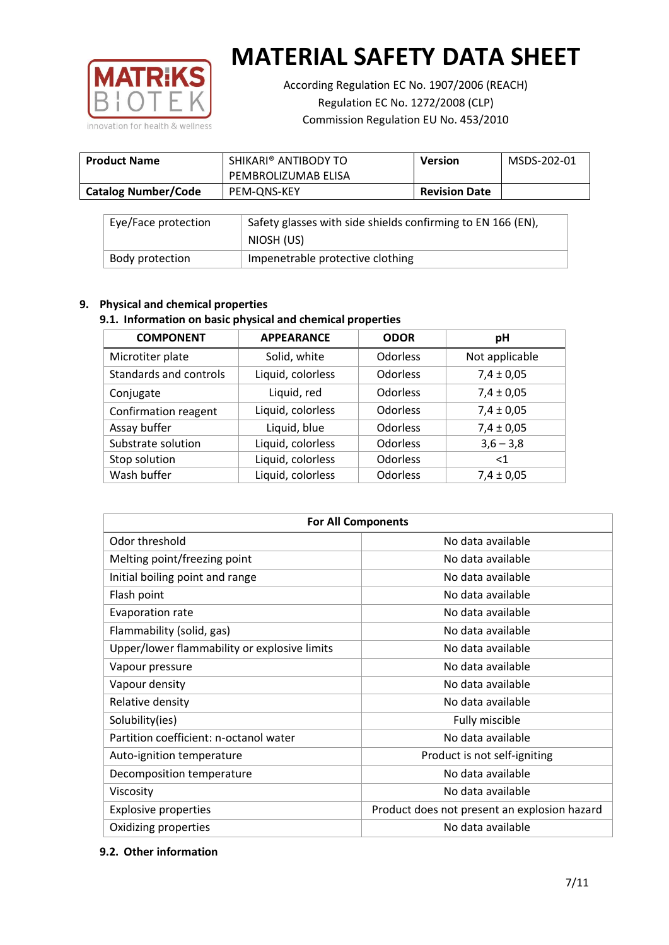

According Regulation EC No. 1907/2006 (REACH) Regulation EC No. 1272/2008 (CLP) Commission Regulation EU No. 453/2010

| <b>Product Name</b>        | SHIKARI® ANTIBODY TO<br>PEMBROLIZUMAB ELISA | <b>Version</b>       | MSDS-202-01 |
|----------------------------|---------------------------------------------|----------------------|-------------|
| <b>Catalog Number/Code</b> | PEM-ONS-KEY                                 | <b>Revision Date</b> |             |

| Eye/Face protection | Safety glasses with side shields confirming to EN 166 (EN),<br>NIOSH (US) |
|---------------------|---------------------------------------------------------------------------|
| Body protection     | Impenetrable protective clothing                                          |

## **9. Physical and chemical properties**

## **9.1. Information on basic physical and chemical properties**

| <b>COMPONENT</b>       | <b>APPEARANCE</b> | <b>ODOR</b>     | pH             |
|------------------------|-------------------|-----------------|----------------|
| Microtiter plate       | Solid, white      | <b>Odorless</b> | Not applicable |
| Standards and controls | Liquid, colorless | <b>Odorless</b> | $7,4 \pm 0,05$ |
| Conjugate              | Liquid, red       | <b>Odorless</b> | $7,4 \pm 0,05$ |
| Confirmation reagent   | Liquid, colorless | <b>Odorless</b> | $7,4 \pm 0,05$ |
| Assay buffer           | Liquid, blue      | <b>Odorless</b> | $7,4 \pm 0,05$ |
| Substrate solution     | Liquid, colorless | <b>Odorless</b> | $3,6 - 3,8$    |
| Stop solution          | Liquid, colorless | <b>Odorless</b> | $<$ 1          |
| Wash buffer            | Liquid, colorless | Odorless        | $7,4 \pm 0,05$ |

| <b>For All Components</b>                    |                                              |  |  |
|----------------------------------------------|----------------------------------------------|--|--|
| Odor threshold                               | No data available                            |  |  |
| Melting point/freezing point                 | No data available                            |  |  |
| Initial boiling point and range              | No data available                            |  |  |
| Flash point                                  | No data available                            |  |  |
| Evaporation rate                             | No data available                            |  |  |
| Flammability (solid, gas)                    | No data available                            |  |  |
| Upper/lower flammability or explosive limits | No data available                            |  |  |
| Vapour pressure                              | No data available                            |  |  |
| Vapour density                               | No data available                            |  |  |
| Relative density                             | No data available                            |  |  |
| Solubility(ies)                              | Fully miscible                               |  |  |
| Partition coefficient: n-octanol water       | No data available                            |  |  |
| Auto-ignition temperature                    | Product is not self-igniting                 |  |  |
| Decomposition temperature                    | No data available                            |  |  |
| Viscosity                                    | No data available                            |  |  |
| <b>Explosive properties</b>                  | Product does not present an explosion hazard |  |  |
| Oxidizing properties                         | No data available                            |  |  |

#### **9.2. Other information**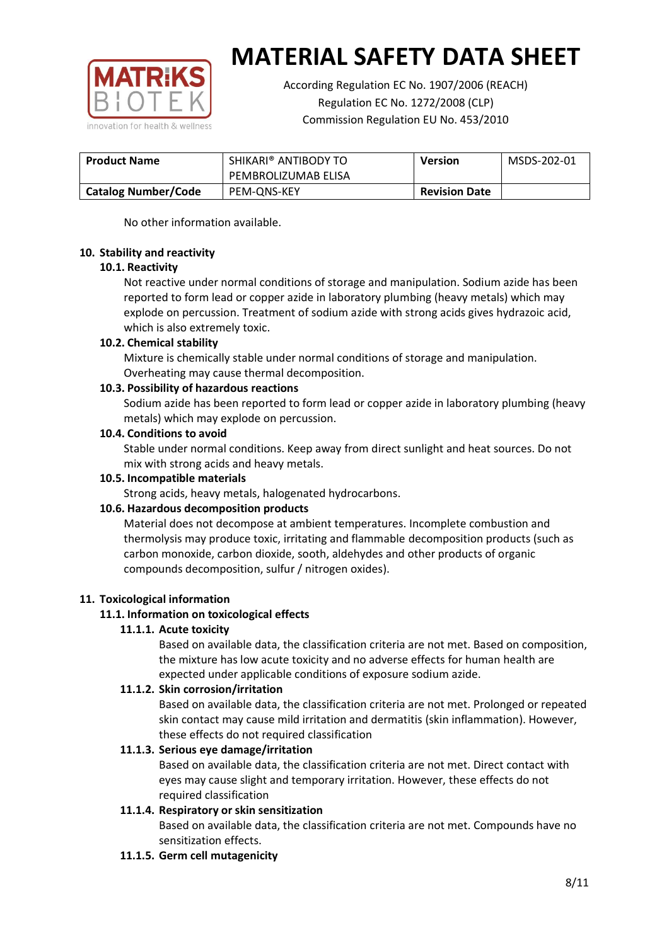

According Regulation EC No. 1907/2006 (REACH) Regulation EC No. 1272/2008 (CLP) Commission Regulation EU No. 453/2010

| <b>Product Name</b>        | SHIKARI® ANTIBODY TO | <b>Version</b>       | MSDS-202-01 |
|----------------------------|----------------------|----------------------|-------------|
|                            | PEMBROLIZUMAB ELISA  |                      |             |
| <b>Catalog Number/Code</b> | PEM-ONS-KEY          | <b>Revision Date</b> |             |

No other information available.

#### **10. Stability and reactivity**

#### **10.1. Reactivity**

Not reactive under normal conditions of storage and manipulation. Sodium azide has been reported to form lead or copper azide in laboratory plumbing (heavy metals) which may explode on percussion. Treatment of sodium azide with strong acids gives hydrazoic acid, which is also extremely toxic.

#### **10.2. Chemical stability**

Mixture is chemically stable under normal conditions of storage and manipulation. Overheating may cause thermal decomposition.

#### **10.3. Possibility of hazardous reactions**

Sodium azide has been reported to form lead or copper azide in laboratory plumbing (heavy metals) which may explode on percussion.

## **10.4. Conditions to avoid**

Stable under normal conditions. Keep away from direct sunlight and heat sources. Do not mix with strong acids and heavy metals.

#### **10.5. Incompatible materials**

Strong acids, heavy metals, halogenated hydrocarbons.

## **10.6. Hazardous decomposition products**

Material does not decompose at ambient temperatures. Incomplete combustion and thermolysis may produce toxic, irritating and flammable decomposition products (such as carbon monoxide, carbon dioxide, sooth, aldehydes and other products of organic compounds decomposition, sulfur / nitrogen oxides).

## **11. Toxicological information**

## **11.1. Information on toxicological effects**

#### **11.1.1. Acute toxicity**

Based on available data, the classification criteria are not met. Based on composition, the mixture has low acute toxicity and no adverse effects for human health are expected under applicable conditions of exposure sodium azide.

#### **11.1.2. Skin corrosion/irritation**

Based on available data, the classification criteria are not met. Prolonged or repeated skin contact may cause mild irritation and dermatitis (skin inflammation). However, these effects do not required classification

## **11.1.3. Serious eye damage/irritation**

Based on available data, the classification criteria are not met. Direct contact with eyes may cause slight and temporary irritation. However, these effects do not required classification

## **11.1.4. Respiratory or skin sensitization**

Based on available data, the classification criteria are not met. Compounds have no sensitization effects.

#### **11.1.5. Germ cell mutagenicity**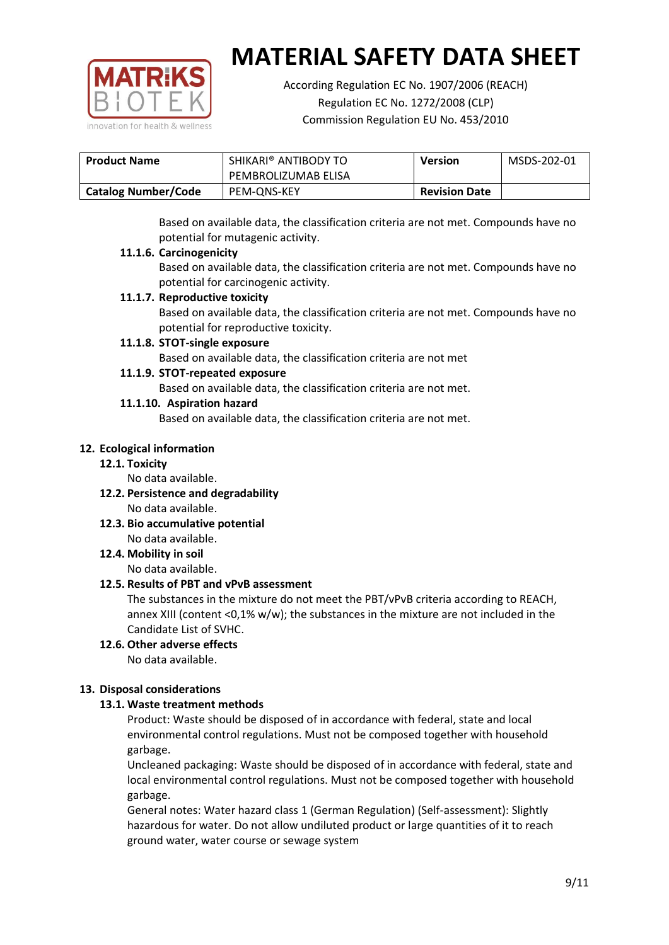

According Regulation EC No. 1907/2006 (REACH) Regulation EC No. 1272/2008 (CLP) Commission Regulation EU No. 453/2010

| SHIKARI® ANTIBODY TO<br><b>Product Name</b><br>PEMBROLIZUMAB ELISA |             | <b>Version</b>       | MSDS-202-01 |
|--------------------------------------------------------------------|-------------|----------------------|-------------|
| <b>Catalog Number/Code</b>                                         | PEM-ONS-KEY | <b>Revision Date</b> |             |

Based on available data, the classification criteria are not met. Compounds have no potential for mutagenic activity.

#### **11.1.6. Carcinogenicity**

Based on available data, the classification criteria are not met. Compounds have no potential for carcinogenic activity.

## **11.1.7. Reproductive toxicity**

Based on available data, the classification criteria are not met. Compounds have no potential for reproductive toxicity.

## **11.1.8. STOT-single exposure**

Based on available data, the classification criteria are not met

#### **11.1.9. STOT-repeated exposure**

Based on available data, the classification criteria are not met.

#### **11.1.10. Aspiration hazard**

Based on available data, the classification criteria are not met.

#### **12. Ecological information**

#### **12.1. Toxicity**

No data available.

- **12.2. Persistence and degradability** No data available.
- **12.3. Bio accumulative potential** No data available.

**12.4. Mobility in soil**

No data available.

## **12.5. Results of PBT and vPvB assessment**

The substances in the mixture do not meet the PBT/vPvB criteria according to REACH, annex XIII (content <0,1% w/w); the substances in the mixture are not included in the Candidate List of SVHC.

#### **12.6. Other adverse effects** No data available.

## **13. Disposal considerations**

## **13.1. Waste treatment methods**

Product: Waste should be disposed of in accordance with federal, state and local environmental control regulations. Must not be composed together with household garbage.

Uncleaned packaging: Waste should be disposed of in accordance with federal, state and local environmental control regulations. Must not be composed together with household garbage.

General notes: Water hazard class 1 (German Regulation) (Self-assessment): Slightly hazardous for water. Do not allow undiluted product or large quantities of it to reach ground water, water course or sewage system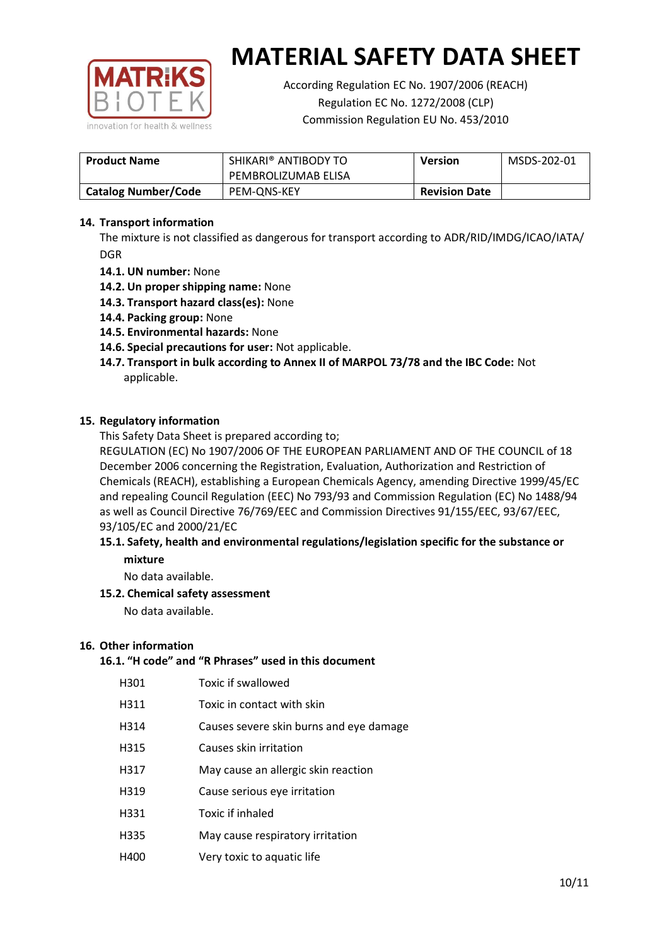

According Regulation EC No. 1907/2006 (REACH) Regulation EC No. 1272/2008 (CLP) Commission Regulation EU No. 453/2010

| <b>Product Name</b>        | SHIKARI® ANTIBODY TO<br>PEMBROLIZUMAB ELISA | <b>Version</b>       | MSDS-202-01 |
|----------------------------|---------------------------------------------|----------------------|-------------|
| <b>Catalog Number/Code</b> | PEM-ONS-KEY                                 | <b>Revision Date</b> |             |

## **14. Transport information**

The mixture is not classified as dangerous for transport according to ADR/RID/IMDG/ICAO/IATA/ DGR

- **14.1. UN number:** None
- **14.2. Un proper shipping name:** None
- **14.3. Transport hazard class(es):** None
- **14.4. Packing group:** None
- **14.5. Environmental hazards:** None
- **14.6. Special precautions for user:** Not applicable.
- **14.7. Transport in bulk according to Annex II of MARPOL 73/78 and the IBC Code:** Not applicable.

#### **15. Regulatory information**

This Safety Data Sheet is prepared according to;

REGULATION (EC) No 1907/2006 OF THE EUROPEAN PARLIAMENT AND OF THE COUNCIL of 18 December 2006 concerning the Registration, Evaluation, Authorization and Restriction of Chemicals (REACH), establishing a European Chemicals Agency, amending Directive 1999/45/EC and repealing Council Regulation (EEC) No 793/93 and Commission Regulation (EC) No 1488/94 as well as Council Directive 76/769/EEC and Commission Directives 91/155/EEC, 93/67/EEC, 93/105/EC and 2000/21/EC

#### **15.1. Safety, health and environmental regulations/legislation specific for the substance or mixture**

No data available.

## **15.2. Chemical safety assessment**

No data available.

#### **16. Other information**

## **16.1. "H code" and "R Phrases" used in this document**

- H311 Toxic in contact with skin
- H314 Causes severe skin burns and eye damage
- H315 Causes skin irritation
- H317 May cause an allergic skin reaction
- H319 Cause serious eye irritation
- H331 Toxic if inhaled
- H335 May cause respiratory irritation
- H400 Very toxic to aquatic life